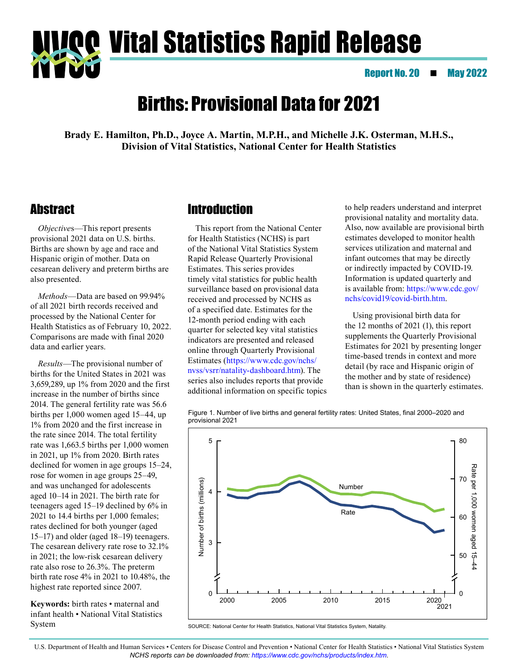<span id="page-0-0"></span>

Report No.  $20 \quad \blacksquare$  May 2022

# Births: Provisional Data for 2021

**Brady E. Hamilton, Ph.D., Joyce A. Martin, M.P.H., and Michelle J.K. Osterman, M.H.S., Division of Vital Statistics, National Center for Health Statistics**

### **Abstract**

*Objective*s—This report presents provisional 2021 data on U.S. births. Births are shown by age and race and Hispanic origin of mother. Data on cesarean delivery and preterm births are also presented.

*Methods*—Data are based on 99.94% of all 2021 birth records received and processed by the National Center for Health Statistics as of February 10, 2022. Comparisons are made with final 2020 data and earlier years.

*Results*—The provisional number of births for the United States in 2021 was 3,659,289, up 1% from 2020 and the first increase in the number of births since 2014. The general fertility rate was 56.6 births per 1,000 women aged 15–44, up 1% from 2020 and the first increase in the rate since 2014. The total fertility rate was 1,663.5 births per 1,000 women in 2021, up 1% from 2020. Birth rates declined for women in age groups 15–24, rose for women in age groups 25–49, and was unchanged for adolescents aged 10–14 in 2021. The birth rate for teenagers aged 15–19 declined by 6% in 2021 to 14.4 births per 1,000 females; rates declined for both younger (aged 15–17) and older (aged 18–19) teenagers. The cesarean delivery rate rose to 32.1% in 2021; the low-risk cesarean delivery rate also rose to 26.3%. The preterm birth rate rose 4% in 2021 to 10.48%, the highest rate reported since 2007.

**Keywords:** birth rates • maternal and infant health • National Vital Statistics System

# Introduction

This report from the National Center for Health Statistics (NCHS) is part of the National Vital Statistics System Rapid Release Quarterly Provisional Estimates. This series provides timely vital statistics for public health surveillance based on provisional data received and processed by NCHS as of a specified date. Estimates for the 12-month period ending with each quarter for selected key vital statistics indicators are presented and released online through Quarterly Provisional Estimates ([https://www.cdc.gov/nchs/](https://www.cdc.gov/nchs/nvss/vsrr/natality-dashboard.htm) [nvss/vsrr/natality-dashboard.htm](https://www.cdc.gov/nchs/nvss/vsrr/natality-dashboard.htm)). The series also includes reports that provide additional information on specific topics to help readers understand and interpret provisional natality and mortality data. Also, now available are provisional birth estimates developed to monitor health services utilization and maternal and infant outcomes that may be directly or indirectly impacted by COVID-19. Information is updated quarterly and is available from: [https://www.cdc.gov/](https://www.cdc.gov/nchs/covid19/covid-birth.htm) [nchs/covid19/covid-birth.htm](https://www.cdc.gov/nchs/covid19/covid-birth.htm).

Using provisional birth data for the 12 months of 2021 (1), this report supplements the Quarterly Provisional Estimates for 2021 by presenting longer time-based trends in context and more detail (by race and Hispanic origin of the mother and by state of residence) than is shown in the quarterly estimates.

Figure 1. Number of live births and general fertility rates: United States, final 2000–2020 and provisional 2021



SOURCE: National Center for Health Statistics, National Vital Statistics System, Natality.

U.S. Department of Health and Human Services • Centers for Disease Control and Prevention • National Center for Health Statistics • National Vital Statistics System *NCHS reports can be downloaded from:<https://www.cdc.gov/nchs/products/index.htm>*.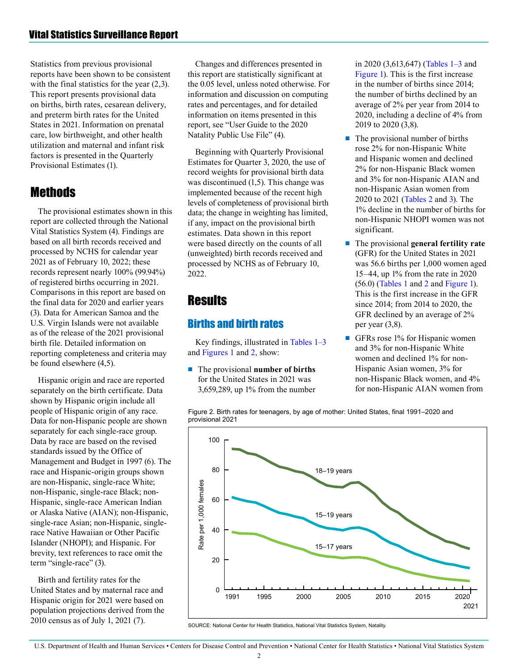<span id="page-1-0"></span>Statistics from previous provisional reports have been shown to be consistent with the final statistics for the year  $(2,3)$ . This report presents provisional data on births, birth rates, cesarean delivery, and preterm birth rates for the United States in 2021. Information on prenatal care, low birthweight, and other health utilization and maternal and infant risk factors is presented in the Quarterly Provisional Estimates (1).

# **Methods**

The provisional estimates shown in this report are collected through the National Vital Statistics System (4). Findings are based on all birth records received and processed by NCHS for calendar year 2021 as of February 10, 2022; these records represent nearly 100% (99.94%) of registered births occurring in 2021. Comparisons in this report are based on the final data for 2020 and earlier years (3). Data for American Samoa and the U.S. Virgin Islands were not available as of the release of the 2021 provisional birth file. Detailed information on reporting completeness and criteria may be found elsewhere (4,5).

Hispanic origin and race are reported separately on the birth certificate. Data shown by Hispanic origin include all people of Hispanic origin of any race. Data for non-Hispanic people are shown separately for each single-race group. Data by race are based on the revised standards issued by the Office of Management and Budget in 1997 (6). The race and Hispanic-origin groups shown are non-Hispanic, single-race White; non-Hispanic, single-race Black; non-Hispanic, single-race American Indian or Alaska Native (AIAN); non-Hispanic, single-race Asian; non-Hispanic, singlerace Native Hawaiian or Other Pacific Islander (NHOPI); and Hispanic. For brevity, text references to race omit the term "single-race" (3).

Birth and fertility rates for the United States and by maternal race and Hispanic origin for 2021 were based on population projections derived from the 2010 census as of July 1, 2021 (7).

Changes and differences presented in this report are statistically significant at the 0.05 level, unless noted otherwise. For information and discussion on computing rates and percentages, and for detailed information on items presented in this report, see "User Guide to the 2020 Natality Public Use File" (4).

Beginning with Quarterly Provisional Estimates for Quarter 3, 2020, the use of record weights for provisional birth data was discontinued (1,5). This change was implemented because of the recent high levels of completeness of provisional birth data; the change in weighting has limited, if any, impact on the provisional birth estimates. Data shown in this report were based directly on the counts of all (unweighted) birth records received and processed by NCHS as of February 10, 2022.

# **Results**

### Births and birth rates

Key findings, illustrated in [Tables 1](#page-5-0)[–3](#page-7-0) and [Figures 1](#page-0-0) and 2, show:

■ The provisional **number of births** for the United States in 2021 was 3,659,289, up 1% from the number

in 2020 (3,613,647) ([Tables 1](#page-5-0)[–3](#page-7-0) and [Figure 1](#page-0-0)). This is the first increase in the number of births since 2014; the number of births declined by an average of 2% per year from 2014 to 2020, including a decline of 4% from 2019 to 2020 (3,8).

- The provisional number of births rose 2% for non-Hispanic White and Hispanic women and declined 2% for non-Hispanic Black women and 3% for non-Hispanic AIAN and non-Hispanic Asian women from 2020 to 2021 [\(Tables 2](#page-6-0) and [3\)](#page-7-0). The 1% decline in the number of births for non-Hispanic NHOPI women was not significant.
- The provisional **general fertility rate** (GFR) for the United States in 2021 was 56.6 births per 1,000 women aged 15–44, up 1% from the rate in 2020 (56.0) [\(Tables 1](#page-5-0) and [2](#page-6-0) and [Figure 1\)](#page-0-0). This is the first increase in the GFR since 2014; from 2014 to 2020, the GFR declined by an average of 2% per year (3,8).
- GFRs rose 1% for Hispanic women and 3% for non-Hispanic White women and declined 1% for non-Hispanic Asian women, 3% for non-Hispanic Black women, and 4% for non-Hispanic AIAN women from

Figure 2. Birth rates for teenagers, by age of mother: United States, final 1991–2020 and provisional 2021



SOURCE: National Center for Health Statistics, National Vital Statistics System, Natality.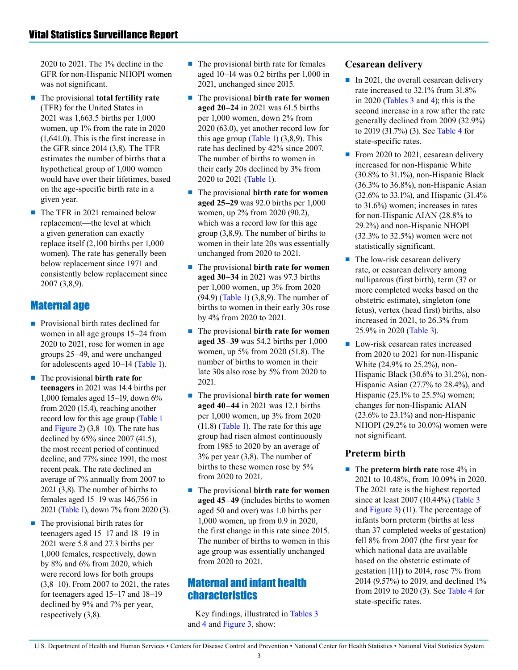2020 to 2021. The 1% decline in the GFR for non-Hispanic NHOPI women was not significant.

- The provisional **total fertility rate** (TFR) for the United States in 2021 was 1,663.5 births per 1,000 women, up 1% from the rate in 2020 (1,641.0). This is the first increase in the GFR since 2014 (3,8). The TFR estimates the number of births that a hypothetical group of 1,000 women would have over their lifetimes, based on the age-specific birth rate in a given year.
- The TFR in 2021 remained below replacement—the level at which a given generation can exactly replace itself (2,100 births per 1,000 women). The rate has generally been below replacement since 1971 and consistently below replacement since 2007 (3,8,9).

### Maternal age

- Provisional birth rates declined for women in all age groups 15–24 from 2020 to 2021, rose for women in age groups 25–49, and were unchanged for adolescents aged 10–14 [\(Table 1\)](#page-5-0).
- The provisional **birth rate for teenagers** in 2021 was 14.4 births per 1,000 females aged 15–19, down 6% from 2020 (15.4), reaching another record low for this age group [\(Table 1](#page-5-0) and [Figure 2\)](#page-1-0) (3,8–10). The rate has declined by 65% since 2007 (41.5), the most recent period of continued decline, and 77% since 1991, the most recent peak. The rate declined an average of 7% annually from 2007 to 2021 (3,8). The number of births to females aged 15–19 was 146,756 in 2021 [\(Table 1\)](#page-5-0), down 7% from 2020 (3).
- The provisional birth rates for teenagers aged 15–17 and 18–19 in 2021 were 5.8 and 27.3 births per 1,000 females, respectively, down by 8% and 6% from 2020, which were record lows for both groups (3,8–10). From 2007 to 2021, the rates for teenagers aged 15–17 and 18–19 declined by 9% and 7% per year, respectively (3,8).
- The provisional birth rate for females aged 10–14 was 0.2 births per 1,000 in 2021, unchanged since 2015.
- The provisional **birth rate for women aged 20–24** in 2021 was 61.5 births per 1,000 women, down 2% from 2020 (63.0), yet another record low for this age group [\(Table 1\)](#page-5-0)  $(3,8,9)$ . This rate has declined by 42% since 2007. The number of births to women in their early 20s declined by 3% from 2020 to 2021 [\(Table 1\)](#page-5-0).
- The provisional **birth rate for women aged 25–29** was 92.0 births per 1,000 women, up 2% from 2020 (90.2), which was a record low for this age group (3,8,9). The number of births to women in their late 20s was essentially unchanged from 2020 to 2021.
- The provisional **birth rate for women aged 30–34** in 2021 was 97.3 births per 1,000 women, up 3% from 2020 (94.9) [\(Table 1\)](#page-5-0) (3,8,9). The number of births to women in their early 30s rose by 4% from 2020 to 2021.
- The provisional **birth rate for women aged 35–39** was 54.2 births per 1,000 women, up 5% from 2020 (51.8). The number of births to women in their late 30s also rose by 5% from 2020 to 2021.
- The provisional **birth rate for women aged 40–44** in 2021 was 12.1 births per 1,000 women, up 3% from 2020 (11.8) [\(Table 1\)](#page-5-0). The rate for this age group had risen almost continuously from 1985 to 2020 by an average of 3% per year (3,8). The number of births to these women rose by 5% from 2020 to 2021.
- The provisional **birth rate for women aged 45–49** (includes births to women aged 50 and over) was 1.0 births per 1,000 women, up from 0.9 in 2020, the first change in this rate since 2015. The number of births to women in this age group was essentially unchanged from 2020 to 2021.

#### Maternal and infant health characteristics

Key findings, illustrated in [Tables 3](#page-7-0) and [4](#page-8-0) and [Figure 3,](#page-3-0) show:

#### **Cesarean delivery**

- In 2021, the overall cesarean delivery rate increased to 32.1% from 31.8% in 2020 [\(Tables 3](#page-7-0) and [4\)](#page-8-0); this is the second increase in a row after the rate generally declined from 2009 (32.9%) to 2019 (31.7%) (3). See [Table 4](#page-8-0) for state-specific rates.
- From 2020 to 2021, cesarean delivery increased for non-Hispanic White (30.8% to 31.1%), non-Hispanic Black (36.3% to 36.8%), non-Hispanic Asian (32.6% to 33.1%), and Hispanic (31.4% to 31.6%) women; increases in rates for non-Hispanic AIAN (28.8% to 29.2%) and non-Hispanic NHOPI (32.3% to 32.5%) women were not statistically significant.
- The low-risk cesarean delivery rate, or cesarean delivery among nulliparous (first birth), term (37 or more completed weeks based on the obstetric estimate), singleton (one fetus), vertex (head first) births, also increased in 2021, to 26.3% from 25.9% in 2020 [\(Table 3\)](#page-7-0).
- Low-risk cesarean rates increased from 2020 to 2021 for non-Hispanic White (24.9% to 25.2%), non-Hispanic Black (30.6% to 31.2%), non-Hispanic Asian (27.7% to 28.4%), and Hispanic (25.1% to 25.5%) women; changes for non-Hispanic AIAN  $(23.6\%$  to  $23.1\%)$  and non-Hispanic NHOPI (29.2% to 30.0%) women were not significant.

#### **Preterm birth**

■ The **preterm birth rate** rose 4<sup>%</sup> in 2021 to 10.48%, from 10.09% in 2020. The 2021 rate is the highest reported since at least 2007 (10.44%) [\(Table 3](#page-7-0) and [Figure 3\)](#page-3-0) (11). The percentage of infants born preterm (births at less than 37 completed weeks of gestation) fell 8% from 2007 (the first year for which national data are available based on the obstetric estimate of gestation [11]) to 2014, rose 7% from 2014 (9.57%) to 2019, and declined 1% from 2019 to 2020 (3). See [Table 4](#page-8-0) for state-specific rates.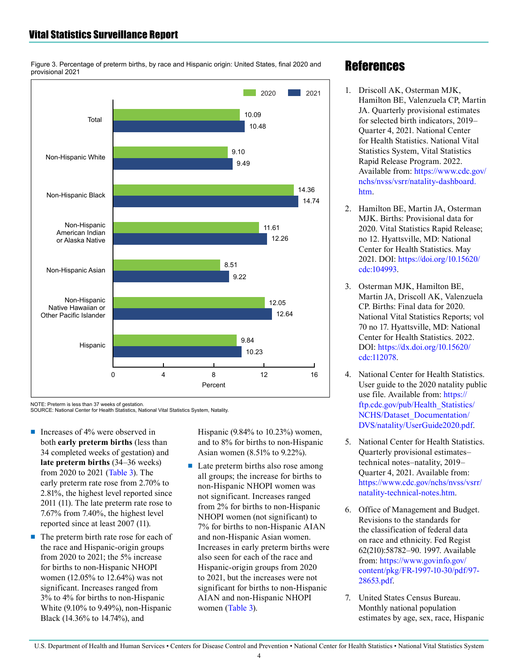<span id="page-3-0"></span>Figure 3. Percentage of preterm births, by race and Hispanic origin: United States, final 2020 and provisional 2021



NOTE: Preterm is less than 37 weeks of gestation.

SOURCE: National Center for Health Statistics, National Vital Statistics System, Natality.

- Increases of 4% were observed in both **early preterm births** (less than 34 completed weeks of gestation) and **late preterm births** (34–36 weeks) from 2020 to 2021 [\(Table 3\)](#page-7-0). The early preterm rate rose from 2.70% to 2.81%, the highest level reported since 2011 (11). The late preterm rate rose to 7.67% from 7.40%, the highest level reported since at least 2007 (11).
- The preterm birth rate rose for each of the race and Hispanic-origin groups from 2020 to 2021; the 5% increase for births to non-Hispanic NHOPI women (12.05% to 12.64%) was not significant. Increases ranged from 3% to 4% for births to non-Hispanic White (9.10% to 9.49%), non-Hispanic Black (14.36% to 14.74%), and

Hispanic (9.84% to 10.23%) women, and to 8% for births to non-Hispanic Asian women (8.51% to 9.22%).

■ Late preterm births also rose among all groups; the increase for births to non-Hispanic NHOPI women was not significant. Increases ranged from 2% for births to non-Hispanic NHOPI women (not significant) to 7% for births to non-Hispanic AIAN and non-Hispanic Asian women. Increases in early preterm births were also seen for each of the race and Hispanic-origin groups from 2020 to 2021, but the increases were not significant for births to non-Hispanic AIAN and non-Hispanic NHOPI women [\(Table 3\)](#page-7-0).

### **References**

- 1. Driscoll AK, Osterman MJK, Hamilton BE, Valenzuela CP, Martin JA. Quarterly provisional estimates for selected birth indicators, 2019– Quarter 4, 2021. National Center for Health Statistics. National Vital Statistics System, Vital Statistics Rapid Release Program. 2022. Available from: [https://www.cdc.gov/](https://www.cdc.gov/nchs/nvss/vsrr/natality-dashboard.htm) [nchs/nvss/vsrr/natality-dashboard.](https://www.cdc.gov/nchs/nvss/vsrr/natality-dashboard.htm) [htm.](https://www.cdc.gov/nchs/nvss/vsrr/natality-dashboard.htm)
- 2. Hamilton BE, Martin JA, Osterman MJK. Births: Provisional data for 2020. Vital Statistics Rapid Release; no 12. Hyattsville, MD: National Center for Health Statistics. May 2021. DOI: [https://doi.org/10.15620/](https://doi.org/10.15620/cdc:104993) [cdc:104993](https://doi.org/10.15620/cdc:104993).
- 3. Osterman MJK, Hamilton BE, Martin JA, Driscoll AK, Valenzuela CP. Births: Final data for 2020. National Vital Statistics Reports; vol 70 no 17. Hyattsville, MD: National Center for Health Statistics. 2022. DOI: [https://dx.doi.org/10.15620/](https://dx.doi.org/10.15620/cdc:112078) [cdc:112078.](https://dx.doi.org/10.15620/cdc:112078)
- 4. National Center for Health Statistics. User guide to the 2020 natality public use file. Available from: [https://](https://ftp.cdc.gov/pub/Health_Statistics/NCHS/Dataset_Documentation/DVS/natality/UserGuide2020.pdf) [ftp.cdc.gov/pub/Health\\_Statistics/](https://ftp.cdc.gov/pub/Health_Statistics/NCHS/Dataset_Documentation/DVS/natality/UserGuide2020.pdf) [NCHS/Dataset\\_Documentation/](https://ftp.cdc.gov/pub/Health_Statistics/NCHS/Dataset_Documentation/DVS/natality/UserGuide2020.pdf) [DVS/natality/UserGuide2020.pdf](https://ftp.cdc.gov/pub/Health_Statistics/NCHS/Dataset_Documentation/DVS/natality/UserGuide2020.pdf).
- 5. National Center for Health Statistics. Quarterly provisional estimates– technical notes–natality, 2019– Quarter 4, 2021. Available from: [https://www.cdc.gov/nchs/nvss/vsrr/](https://www.cdc.gov/nchs/nvss/vsrr/natality-technical-notes.htm) [natality-technical-notes.htm.](https://www.cdc.gov/nchs/nvss/vsrr/natality-technical-notes.htm)
- 6. Office of Management and Budget. Revisions to the standards for the classification of federal data on race and ethnicity. Fed Regist 62(210):58782–90. 1997. Available from: [https://www.govinfo.gov/](https://www.govinfo.gov/content/pkg/FR-1997-10-30/pdf/97-28653.pdf) [content/pkg/FR-1997-10-30/pdf/97-](https://www.govinfo.gov/content/pkg/FR-1997-10-30/pdf/97-28653.pdf) [28653.pdf.](https://www.govinfo.gov/content/pkg/FR-1997-10-30/pdf/97-28653.pdf)
- 7. United States Census Bureau. Monthly national population estimates by age, sex, race, Hispanic

U.S. Department of Health and Human Services • Centers for Disease Control and Prevention • National Center for Health Statistics • National Vital Statistics System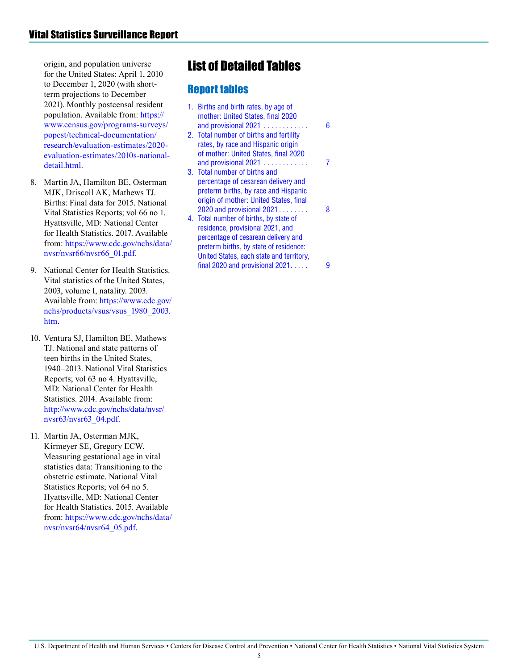origin, and population universe for the United States: April 1, 2010 to December 1, 2020 (with shortterm projections to December 2021). Monthly postcensal resident population. Available from: [https://](https://www.census.gov/programs-surveys/popest/technical-documentation/research/evaluation-estimates/2020-evaluation-estimates/2010s-national-detail.html) [www.census.gov/programs-surveys/](https://www.census.gov/programs-surveys/popest/technical-documentation/research/evaluation-estimates/2020-evaluation-estimates/2010s-national-detail.html) [popest/technical-documentation/](https://www.census.gov/programs-surveys/popest/technical-documentation/research/evaluation-estimates/2020-evaluation-estimates/2010s-national-detail.html) [research/evaluation-estimates/2020](https://www.census.gov/programs-surveys/popest/technical-documentation/research/evaluation-estimates/2020-evaluation-estimates/2010s-national-detail.html) [evaluation-estimates/2010s-national](https://www.census.gov/programs-surveys/popest/technical-documentation/research/evaluation-estimates/2020-evaluation-estimates/2010s-national-detail.html)[detail.html.](https://www.census.gov/programs-surveys/popest/technical-documentation/research/evaluation-estimates/2020-evaluation-estimates/2010s-national-detail.html)

- 8. Martin JA, Hamilton BE, Osterman MJK, Driscoll AK, Mathews TJ. Births: Final data for 2015. National Vital Statistics Reports; vol 66 no 1. Hyattsville, MD: National Center for Health Statistics. 2017. Available from: [https://www.cdc.gov/nchs/data/](https://www.cdc.gov/nchs/data/nvsr/nvsr66/nvsr66_01.pdf) [nvsr/nvsr66/nvsr66\\_01.pdf](https://www.cdc.gov/nchs/data/nvsr/nvsr66/nvsr66_01.pdf).
- 9. National Center for Health Statistics. Vital statistics of the United States, 2003, volume I, natality. 2003. Available from: [https://www.cdc.gov/](https://www.cdc.gov/nchs/products/vsus/vsus_1980_2003.htm) [nchs/products/vsus/vsus\\_1980\\_2003.](https://www.cdc.gov/nchs/products/vsus/vsus_1980_2003.htm) [htm.](https://www.cdc.gov/nchs/products/vsus/vsus_1980_2003.htm)
- 10. Ventura SJ, Hamilton BE, Mathews TJ. National and state patterns of teen births in the United States, 1940–2013. National Vital Statistics Reports; vol 63 no 4. Hyattsville, MD: National Center for Health Statistics. 2014. Available from: [http://www.cdc.gov/nchs/data/nvsr/](http://www.cdc.gov/nchs/data/nvsr/nvsr63/nvsr63_04.pdf) [nvsr63/nvsr63\\_04.pdf.](http://www.cdc.gov/nchs/data/nvsr/nvsr63/nvsr63_04.pdf)
- 11. Martin JA, Osterman MJK, Kirmeyer SE, Gregory ECW. Measuring gestational age in vital statistics data: Transitioning to the obstetric estimate. National Vital Statistics Reports; vol 64 no 5. Hyattsville, MD: National Center for Health Statistics. 2015. Available from: [https://www.cdc.gov/nchs/data/](https://www.cdc.gov/nchs/data/nvsr/nvsr64/nvsr64_05.pdf) [nvsr/nvsr64/nvsr64\\_05.pdf](https://www.cdc.gov/nchs/data/nvsr/nvsr64/nvsr64_05.pdf).

# List of Detailed Tables

#### Report tables

- [1. Births and birth rates, by age of](#page-5-0)  [mother: United States, final 2020](#page-5-0)  [and provisional 2021 ............](#page-5-0) 6
- [2. Total number of births and fertility](#page-6-0)  [rates, by race and Hispanic origin](#page-6-0)  [of mother: United States, final 2020](#page-6-0)  [and provisional 2021 ............](#page-6-0) 7
- [3. Total number of births and](#page-7-0)  [percentage of cesarean delivery and](#page-7-0)  [preterm births, by race and Hispanic](#page-7-0)  [origin of mother: United States, final](#page-7-0)  [2020 and provisional 2021 ........](#page-7-0) 8
- [4. Total number of births, by state of](#page-8-0)  [residence, provisional 2021, and](#page-8-0)  [percentage of cesarean delivery and](#page-8-0)  [preterm births, by state of residence:](#page-8-0)  [United States, each state and territory,](#page-8-0)  [final 2020 and provisional 2021 .....](#page-8-0) 9

U.S. Department of Health and Human Services • Centers for Disease Control and Prevention • National Center for Health Statistics • National Vital Statistics System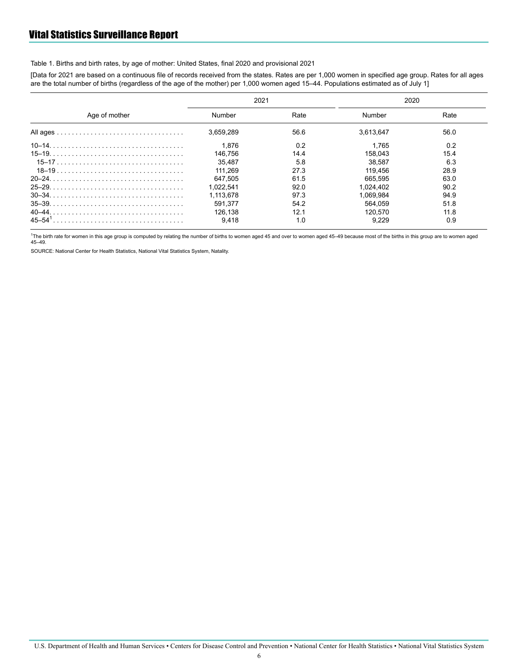#### <span id="page-5-0"></span>Vital Statistics Surveillance Report

#### Table 1. Births and birth rates, by age of mother: United States, final 2020 and provisional 2021

[Data for 2021 are based on a continuous file of records received from the states. Rates are per 1,000 women in specified age group. Rates for all ages are the total number of births (regardless of the age of the mother) per 1,000 women aged 15–44. Populations estimated as of July 1]

|               | 2021      |      | 2020      |      |
|---------------|-----------|------|-----------|------|
| Age of mother | Number    | Rate | Number    | Rate |
|               | 3.659.289 | 56.6 | 3,613,647 | 56.0 |
|               | 1.876     | 0.2  | 1.765     | 0.2  |
|               | 146.756   | 14.4 | 158.043   | 15.4 |
|               | 35.487    | 5.8  | 38.587    | 6.3  |
|               | 111.269   | 27.3 | 119.456   | 28.9 |
|               | 647.505   | 61.5 | 665.595   | 63.0 |
|               | 1.022.541 | 92.0 | 1.024.402 | 90.2 |
|               | 1.113.678 | 97.3 | 1.069.984 | 94.9 |
|               | 591.377   | 54.2 | 564.059   | 51.8 |
|               | 126.138   | 12.1 | 120.570   | 11.8 |
|               | 9.418     | 1.0  | 9.229     | 0.9  |

1 The birth rate for women in this age group is computed by relating the number of births to women aged 45 and over to women aged 45–49 because most of the births in this group are to women aged 45–49.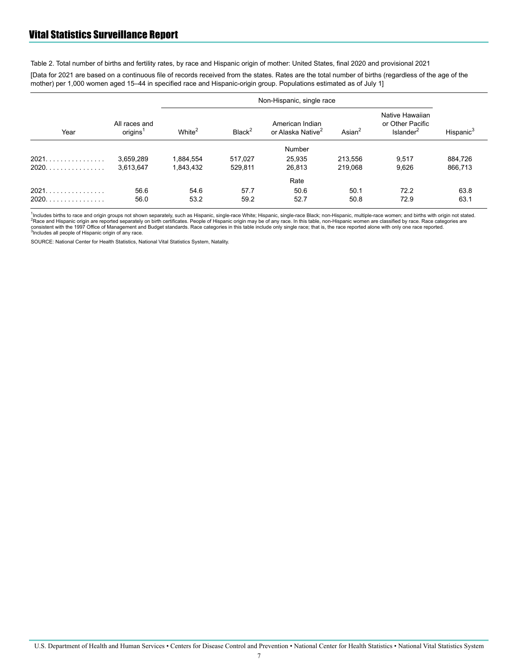#### <span id="page-6-0"></span>Vital Statistics Surveillance Report

Table 2. Total number of births and fertility rates, by race and Hispanic origin of mother: United States, final 2020 and provisional 2021 [Data for 2021 are based on a continuous file of records received from the states. Rates are the total number of births (regardless of the age of the mother) per 1,000 women aged 15–44 in specified race and Hispanic-origin group. Populations estimated as of July 1]

|            |                           | Non-Hispanic, single race |                    |                                                  |            |                                                              |                       |  |
|------------|---------------------------|---------------------------|--------------------|--------------------------------------------------|------------|--------------------------------------------------------------|-----------------------|--|
| Year       | All races and<br>original | White <sup>2</sup>        | Black <sup>2</sup> | American Indian<br>or Alaska Native <sup>2</sup> | Asian $^2$ | Native Hawaiian<br>or Other Pacific<br>Islander <sup>2</sup> | Hispanic <sup>3</sup> |  |
|            |                           |                           |                    | Number                                           |            |                                                              |                       |  |
| 2021.      | 3,659,289                 | 1,884,554                 | 517,027            | 25,935                                           | 213,556    | 9,517                                                        | 884,726               |  |
| 2020.<br>. | 3.613.647                 | 1,843,432                 | 529.811            | 26,813                                           | 219,068    | 9,626                                                        | 866,713               |  |
|            |                           |                           |                    | Rate                                             |            |                                                              |                       |  |
| 2021.      | 56.6                      | 54.6                      | 57.7               | 50.6                                             | 50.1       | 72.2                                                         | 63.8                  |  |
| 2020.<br>. | 56.0                      | 53.2                      | 59.2               | 52.7                                             | 50.8       | 72.9                                                         | 63.1                  |  |

<sup>1</sup>Includes births to race and origin groups not shown separately, such as Hispanic, single-race White; Hispanic, single-race Black; non-Hispanic, multiple-race women; and births with origin not stated.<br><sup>2</sup>Race and Hispani consistent with the 1997 Office of Management and Budget standards. Race categories in this table include only single race; that is, the race reported alone with only one race reported.<br><sup>3</sup>Includes all people of Hispanic o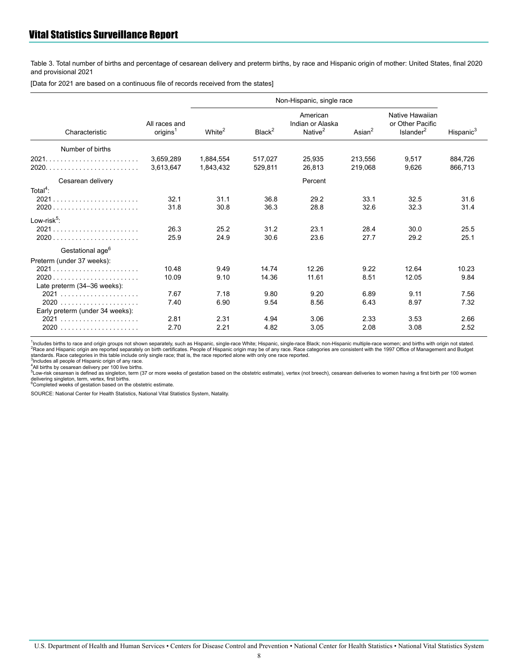<span id="page-7-0"></span>Table 3. Total number of births and percentage of cesarean delivery and preterm births, by race and Hispanic origin of mother: United States, final 2020 and provisional 2021

[Data for 2021 are based on a continuous file of records received from the states]

|                                 |                                       |                    |                    | Non-Hispanic, single race                  |            |                                                              |                       |
|---------------------------------|---------------------------------------|--------------------|--------------------|--------------------------------------------|------------|--------------------------------------------------------------|-----------------------|
| Characteristic                  | All races and<br>origins <sup>1</sup> | White <sup>2</sup> | Black <sup>2</sup> | American<br>Indian or Alaska<br>Native $2$ | Asian $^2$ | Native Hawaiian<br>or Other Pacific<br>Islander <sup>2</sup> | Hispanic <sup>3</sup> |
| Number of births                |                                       |                    |                    |                                            |            |                                                              |                       |
|                                 | 3,659,289                             | 1.884.554          | 517.027            | 25.935                                     | 213.556    | 9.517                                                        | 884.726               |
|                                 | 3,613,647                             | 1,843,432          | 529,811            | 26,813                                     | 219,068    | 9,626                                                        | 866,713               |
| Cesarean delivery               |                                       |                    |                    | Percent                                    |            |                                                              |                       |
| Total <sup>4</sup> :            |                                       |                    |                    |                                            |            |                                                              |                       |
| 2021                            | 32.1                                  | 31.1               | 36.8               | 29.2                                       | 33.1       | 32.5                                                         | 31.6                  |
| 2020                            | 31.8                                  | 30.8               | 36.3               | 28.8                                       | 32.6       | 32.3                                                         | 31.4                  |
| Low-risk <sup>5</sup> :         |                                       |                    |                    |                                            |            |                                                              |                       |
|                                 | 26.3                                  | 25.2               | 31.2               | 23.1                                       | 28.4       | 30.0                                                         | 25.5                  |
|                                 | 25.9                                  | 24.9               | 30.6               | 23.6                                       | 27.7       | 29.2                                                         | 25.1                  |
| Gestational age <sup>6</sup>    |                                       |                    |                    |                                            |            |                                                              |                       |
| Preterm (under 37 weeks):       |                                       |                    |                    |                                            |            |                                                              |                       |
|                                 | 10.48                                 | 9.49               | 14.74              | 12.26                                      | 9.22       | 12.64                                                        | 10.23                 |
|                                 | 10.09                                 | 9.10               | 14.36              | 11.61                                      | 8.51       | 12.05                                                        | 9.84                  |
| Late preterm (34-36 weeks):     |                                       |                    |                    |                                            |            |                                                              |                       |
|                                 | 7.67                                  | 7.18               | 9.80               | 9.20                                       | 6.89       | 9.11                                                         | 7.56                  |
|                                 | 7.40                                  | 6.90               | 9.54               | 8.56                                       | 6.43       | 8.97                                                         | 7.32                  |
| Early preterm (under 34 weeks): |                                       |                    |                    |                                            |            |                                                              |                       |
|                                 | 2.81                                  | 2.31               | 4.94               | 3.06                                       | 2.33       | 3.53                                                         | 2.66                  |
|                                 | 2.70                                  | 2.21               | 4.82               | 3.05                                       | 2.08       | 3.08                                                         | 2.52                  |

<sup>1</sup>Includes births to race and origin groups not shown separately, such as Hispanic, single-race White; Hispanic, single-race Black; non-Hispanic multiple-race women; and births with origin not stated. <sup>2</sup>Race and Hispanic origin are reported separately on birth certificates. People of Hispanic origin may be of any race. Race categories are consistent with the 1997 Office of Management and Budget<br>standards. Race categori

<sup>4</sup>All births by cesarean delivery per 100 live births.<br><sup>5</sup>Low-risk cesarean is defined as singleton, term (37 or more weeks of gestation based on the obstetric estimate), vertex (not breech), cesarean deliveries to women

delivering singleton, term, vertex, first births.<br><sup>6</sup>Completed weeks of gestation based on the obstetric estimate.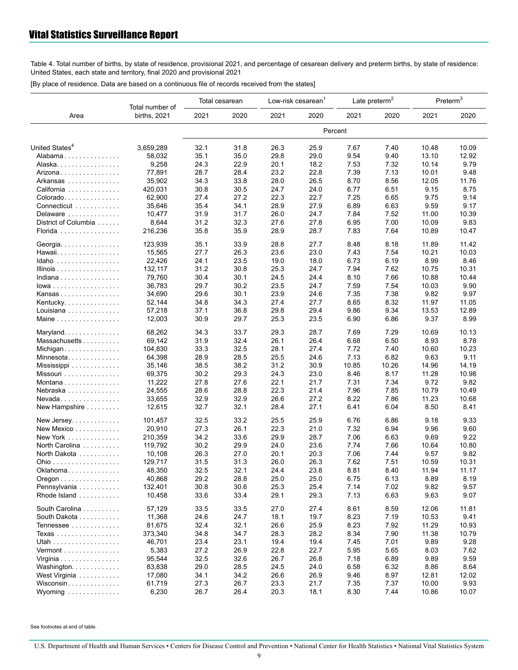### <span id="page-8-0"></span>Vital Statistics Surveillance Report

Table 4. Total number of births, by state of residence, provisional 2021, and percentage of cesarean delivery and preterm births, by state of residence: United States, each state and territory, final 2020 and provisional 2021

[By place of residence. Data are based on a continuous file of records received from the states]

|                                         | Total cesarean                  |      |      |      | Low-risk cesarean <sup>1</sup> |         | Late preterm <sup>2</sup> | Preterm <sup>3</sup> |       |  |
|-----------------------------------------|---------------------------------|------|------|------|--------------------------------|---------|---------------------------|----------------------|-------|--|
| Area                                    | Total number of<br>births, 2021 | 2021 | 2020 | 2021 | 2020                           | 2021    | 2020                      | 2021                 | 2020  |  |
|                                         |                                 |      |      |      |                                | Percent |                           |                      |       |  |
| United States <sup>4</sup>              | 3,659,289                       | 32.1 | 31.8 | 26.3 | 25.9                           | 7.67    | 7.40                      | 10.48                | 10.09 |  |
| Alabama                                 | 58,032                          | 35.1 | 35.0 | 29.8 | 29.0                           | 9.54    | 9.40                      | 13.10                | 12.92 |  |
| Alaska.                                 | 9,258                           | 24.3 | 22.9 | 20.1 | 18.2                           | 7.53    | 7.32                      | 10.14                | 9.79  |  |
| Arizona                                 | 77,891                          | 28.7 | 28.4 | 23.2 | 22.8                           | 7.39    | 7.13                      | 10.01                | 9.48  |  |
| Arkansas                                | 35,902                          | 34.3 | 33.8 | 28.0 | 26.5                           | 8.70    | 8.56                      | 12.05                | 11.76 |  |
| California                              | 420,031                         | 30.8 | 30.5 | 24.7 | 24.0                           | 6.77    | 6.51                      | 9.15                 | 8.75  |  |
| Colorado                                | 62,900                          | 27.4 | 27.2 | 22.3 | 22.7                           | 7.25    | 6.65                      | 9.75                 | 9.14  |  |
| Connecticut                             | 35,646                          | 35.4 | 34.1 | 28.9 | 27.9                           | 6.89    | 6.63                      | 9.59                 | 9.17  |  |
| Delaware                                | 10,477                          | 31.9 | 31.7 | 26.0 | 24.7                           | 7.84    | 7.52                      | 11.00                | 10.39 |  |
| District of Columbia                    | 8,644                           | 31.2 | 32.3 | 27.6 | 27.8                           | 6.95    | 7.00                      | 10.09                | 9.83  |  |
| Florida                                 | 216,236                         | 35.8 | 35.9 | 28.9 | 28.7                           | 7.83    | 7.64                      | 10.89                | 10.47 |  |
| Georgia                                 | 123,939                         | 35.1 | 33.9 | 28.8 | 27.7                           | 8.48    | 8.18                      | 11.89                | 11.42 |  |
| Hawaii.                                 | 15,565                          | 27.7 | 26.3 | 23.6 | 23.0                           | 7.43    | 7.54                      | 10.21                | 10.03 |  |
| Idaho                                   | 22,426                          | 24.1 | 23.5 | 19.0 | 18.0                           | 6.73    | 6.19                      | 8.99                 | 8.46  |  |
| Illinois                                | 132,117                         | 31.2 | 30.8 | 25.3 | 24.7                           | 7.94    | 7.62                      | 10.75                | 10.31 |  |
| Indiana                                 | 79.760                          | 30.4 | 30.1 | 24.5 | 24.4                           | 8.10    | 7.66                      | 10.88                | 10.44 |  |
| $lowa \ldots \ldots \ldots \ldots$      | 36,783                          | 29.7 | 30.2 | 23.5 | 24.7                           | 7.59    | 7.54                      | 10.03                | 9.90  |  |
| Kansas                                  | 34,690                          | 29.6 | 30.1 | 23.9 | 24.6                           | 7.35    | 7.38                      | 9.82                 | 9.97  |  |
| Kentucky                                | 52,144                          | 34.8 | 34.3 | 27.4 | 27.7                           | 8.65    | 8.32                      | 11.97                | 11.05 |  |
| Louisiana                               | 57,218                          | 37.1 | 36.8 | 29.8 | 29.4                           | 9.86    | 9.34                      | 13.53                | 12.89 |  |
| Maine                                   | 12,003                          | 30.9 | 29.7 | 25.3 | 23.5                           | 6.90    | 6.86                      | 9.37                 | 8.99  |  |
| Maryland                                | 68,262                          | 34.3 | 33.7 | 29.3 | 28.7                           | 7.69    | 7.29                      | 10.69                | 10.13 |  |
| Massachusetts                           | 69,142                          | 31.9 | 32.4 | 26.1 | 26.4                           | 6.68    | 6.50                      | 8.93                 | 8.78  |  |
| Michigan                                | 104,830                         | 33.3 | 32.5 | 28.1 | 27.4                           | 7.72    | 7.40                      | 10.60                | 10.23 |  |
| Minnesota                               | 64,398                          | 28.9 | 28.5 | 25.5 | 24.6                           | 7.13    | 6.82                      | 9.63                 | 9.11  |  |
| Mississippi                             | 35,146                          | 38.5 | 38.2 | 31.2 | 30.9                           | 10.85   | 10.26                     | 14.96                | 14.19 |  |
| Missouri                                | 69,375                          | 30.2 | 29.3 | 24.3 | 23.0                           | 8.46    | 8.17                      | 11.28                | 10.98 |  |
| Montana                                 | 11,222                          | 27.8 | 27.6 | 22.1 | 21.7                           | 7.31    | 7.34                      | 9.72                 | 9.82  |  |
| Nebraska                                | 24,555                          | 28.6 | 28.8 | 22.3 | 21.4                           | 7.96    | 7.85                      | 10.79                | 10.49 |  |
| Nevada                                  | 33,655                          | 32.9 | 32.9 | 26.6 | 27.2                           | 8.22    | 7.86                      | 11.23                | 10.68 |  |
| New Hampshire                           | 12,615                          | 32.7 | 32.1 | 28.4 | 27.1                           | 6.41    | 6.04                      | 8.50                 | 8.41  |  |
| New Jersey                              | 101,457                         | 32.5 | 33.2 | 25.5 | 25.9                           | 6.76    | 6.86                      | 9.18                 | 9.33  |  |
| New Mexico                              | 20,910                          | 27.3 | 26.1 | 22.3 | 21.0                           | 7.32    | 6.94                      | 9.96                 | 9.60  |  |
| New York                                | 210,359                         | 34.2 | 33.6 | 29.9 | 28.7                           | 7.06    | 6.63                      | 9.69                 | 9.22  |  |
| North Carolina                          | 119.792                         | 30.2 | 29.9 | 24.0 | 23.6                           | 7.74    | 7.66                      | 10.64                | 10.80 |  |
| North Dakota                            | 10,108                          | 26.3 | 27.0 | 20.1 | 20.3                           | 7.06    | 7.44                      | 9.57                 | 9.82  |  |
| Ohio                                    | 129,717                         | 31.5 | 31.3 | 26.0 | 26.3                           | 7.62    | 7.51                      | 10.59                | 10.31 |  |
| Oklahoma                                | 48,350                          | 32.5 | 32.1 | 24.4 | 23.8                           | 8.81    | 8.40                      | 11.94                | 11.17 |  |
| $O$ regon $\ldots \ldots \ldots \ldots$ | 40,868                          | 29.2 | 28.8 | 25.0 | 25.0                           | 6.75    | 6.13                      | 8.89                 | 8.19  |  |
| Pennsylvania                            | 132,401                         | 30.8 | 30.6 | 25.3 | 25.4                           | 7.14    | 7.02                      | 9.82                 | 9.57  |  |
| Rhode Island                            | 10,458                          | 33.6 | 33.4 | 29.1 | 29.3                           | 7.13    | 6.63                      | 9.63                 | 9.07  |  |
| South Carolina                          | 57,129                          | 33.5 | 33.5 | 27.0 | 27.4                           | 8.61    | 8.59                      | 12.06                | 11.81 |  |
| South Dakota                            | 11,368                          | 24.6 | 24.7 | 18.1 | 19.7                           | 8.23    | 7.19                      | 10.53                | 9.41  |  |
| Tennessee                               | 81,675                          | 32.4 | 32.1 | 26.6 | 25.9                           | 8.23    | 7.92                      | 11.29                | 10.93 |  |
| Texas                                   | 373,340                         | 34.8 | 34.7 | 28.3 | 28.2                           | 8.34    | 7.90                      | 11.38                | 10.79 |  |
| Utah                                    | 46,701                          | 23.4 | 23.1 | 19.4 | 19.4                           | 7.45    | 7.01                      | 9.89                 | 9.28  |  |
| Vermont                                 | 5,383                           | 27.2 | 26.9 | 22.8 | 22.7                           | 5.95    | 5.65                      | 8.03                 | 7.62  |  |
| Virginia                                | 95,544                          | 32.5 | 32.6 | 26.7 | 26.8                           | 7.18    | 6.89                      | 9.89                 | 9.59  |  |
| Washington.                             | 83,838                          | 29.0 | 28.5 | 24.5 | 24.0                           | 6.58    | 6.32                      | 8.86                 | 8.64  |  |
| West Virginia                           | 17,080                          | 34.1 | 34.2 | 26.6 | 26.9                           | 9.46    | 8.97                      | 12.81                | 12.02 |  |
| Wisconsin                               | 61,719                          | 27.3 | 26.7 | 23.3 | 21.7                           | 7.35    | 7.37                      | 10.00                | 9.93  |  |
| Wyoming                                 | 6,230                           | 26.7 | 26.4 | 20.3 | 18.1                           | 8.30    | 7.44                      | 10.86                | 10.07 |  |

See footnotes at end of table.

U.S. Department of Health and Human Services • Centers for Disease Control and Prevention • National Center for Health Statistics • National Vital Statistics System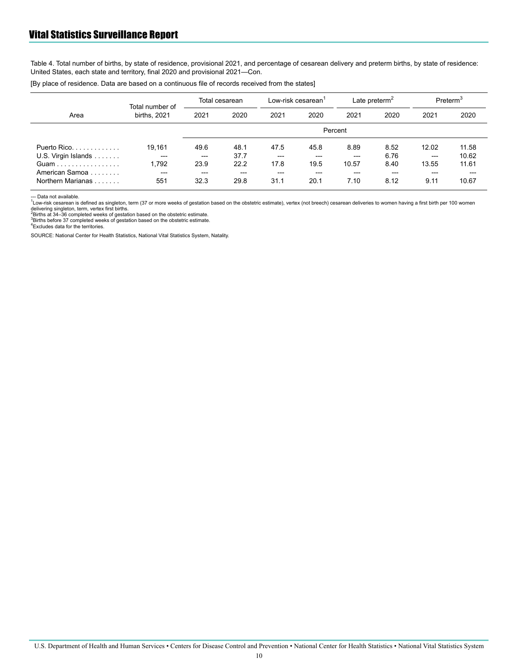Table 4. Total number of births, by state of residence, provisional 2021, and percentage of cesarean delivery and preterm births, by state of residence: United States, each state and territory, final 2020 and provisional 2021—Con.

|  |  | [By place of residence. Data are based on a continuous file of records received from the states] |  |  |  |  |  |  |  |  |
|--|--|--------------------------------------------------------------------------------------------------|--|--|--|--|--|--|--|--|
|  |  |                                                                                                  |  |  |  |  |  |  |  |  |

|                                    | Total number of |               | Total cesarean |               | Low-risk cesarean <sup>1</sup> |                | Late preterm <sup>2</sup> |                | $P$ reterm $3$ |
|------------------------------------|-----------------|---------------|----------------|---------------|--------------------------------|----------------|---------------------------|----------------|----------------|
| Area                               | births, 2021    | 2021          | 2020           | 2021          | 2020                           | 2021           | 2020                      | 2021           | 2020           |
| Percent                            |                 |               |                |               |                                |                |                           |                |                |
| Puerto Rico<br>U.S. Virgin Islands | 19.161<br>$---$ | 49.6<br>$---$ | 48.1<br>37.7   | 47.5<br>$---$ | 45.8<br>$---$                  | 8.89<br>$---$  | 8.52<br>6.76              | 12.02<br>$---$ | 11.58<br>10.62 |
| Guam<br>American Samoa             | 1.792<br>$---$  | 23.9<br>$---$ | 22.2<br>$---$  | 17.8<br>---   | 19.5<br>$---$                  | 10.57<br>$---$ | 8.40<br>$---$             | 13.55<br>$---$ | 11.61<br>$---$ |
| Northern Marianas                  | 551             | 32.3          | 29.8           | 31.1          | 20.1                           | 7.10           | 8.12                      | 9.11           | 10.67          |

--- Data not available.<br><sup>1</sup>Low-risk cesarean is defined as singleton, term (37 or more weeks of gestation based on the obstetric estimate), vertex (not breech) cesarean deliveries to women having a first birth per 100 wome

delivering singleton, term, vertex first births.<br><sup>2</sup>Births at 34–36 completed weeks of gestation based on the obstetric estimate.<br><sup>3</sup>Births before 37 completed weeks of gestation based on the obstetric estimate.

4 Excludes data for the territories.